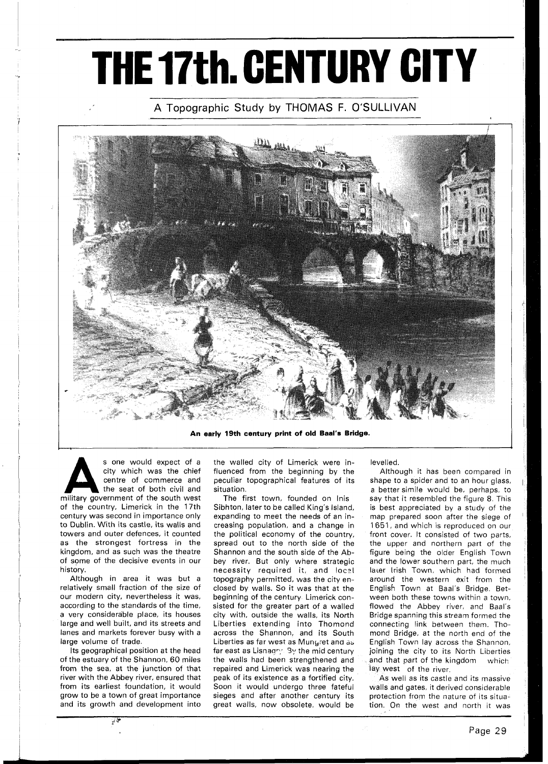## **THE 17th. CENTURY CITY**

## A Topographic Study by THOMAS F. O'SULLIVAN



**An early 19th century print of old Baal's Bridge.** 

S one would expect of a city which was the chief centre of commerce and the seat of both civil and military government of the south west city which was the chief centre of commerce and the seat of both civil and of the country, Limerick in the 17th century was second in importance only to Dublin. With its castle, its walls and towers and outer defences, it counted as the strongest fortress in the kingdom, and as such was the theatre of some of the decisive events in our history.

Although in area it was but a relatively small fraction of the size of our modern city, nevertheless it was, according to the standards of the time, a very considerable place, its houses large and well built, and its streets and lanes and markets forever busy with a large volume of trade.

Its geographical position at the head of the estuary of the Shannon, 60 miles from the sea, at the junction of that river with the Abbey river, ensured that from its earliest foundation, it would grow to be a town of great importance and its growth and development into

**y! i-**

the walled city of Limerick were influenced from the beginning by the peculiar topographical features of its situation.

The first town, founded on lnis Sibhton, later to be called King's Island, expanding to meet the needs of an increasing population, and a change in the political economy of the country, spread out to the north side of the Shannon and the south side of the Abbey river. But only where strategic necessity required it, and loczl topography permitted, was the city enclosed by walls. So it was that at the beginning of the century Limerick consisted for the greater part of a walled city with, outside the walls, its North Liberties extending into Thomond across the Shannon, and its South Liberties as far west as Mungret and as far east as Lisnagry. By the mid century the walls had been strengthened and repaired and Limerick was nearing the peak of its existence as a fortified city. Soon it would undergo three fateful sieges and after another century its great walls, now obsolete, would be

levelled.

Although it has been compared in shape to a spider and to an hour glass, a better simile would be, perhaps, to say that it resembled the figure 8. This is best appreciated by a study of the map prepared soon after the siege of 1651, and which is reproduced on our front cover. It consisted of two parts, the upper and northern part of the figure being the older English Town and the lower southern part, the much laier Irish Town, which had formed around the western exit from the English Town at Baal's Bridge. Between both these towns within a town, flowed the Abbey river, and Baal's Bridge spanning this stream formed the connecting link between them. Thomond Bridge, at the north end of the English Town lay across the Shannon, joining the city to its North Liberties and that part of the kingdom which lay west of the river.

As well as its castle and its massive walls and gates, it derived considerable protection from the nature of its situation. On the west and north it was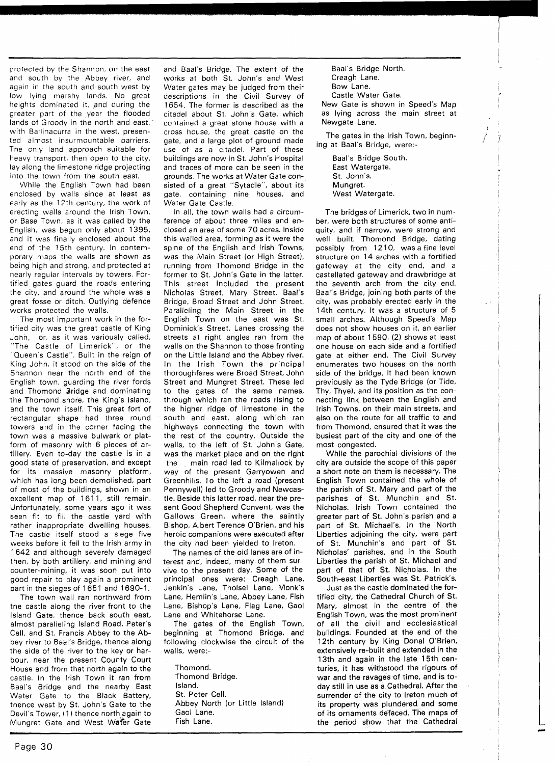protected by the Shannon, on the east and south by the Abbey river, and again in the south and south west by low lying marshy lands. No great heights dominated it, and during the greater part of the year the flooded lands of Groody in the north and east,' with Ballinacurra in the west, presented almost insurmountable barriers. The only land approach suitable for heavy transport, then open to the city, lay along the limestone ridge projecting into the town from the south east.

While the English Town had been enclosed by walls since at least as early as the 12th century, the work of erecting walls around the lrish Town, or Base Town, as it was called by the English, was begun only about 1395, and it was finally enclosed about the end of the 15th century. In contemporary maps the walls are shown as being high and strong, and protected at nearly regular intervals by towers. Fortified gates guard the roads entering the city, and around the whole was a great fosse or ditch. Outlying defence works protected the walls.

The most important work in the fortified city was the great castle of King John, or, as it was variously called, "The Castle of Limerick", or the "Queen's Castle". Built in the reign of King John, it stood on the side of the Shannon near the north end of the English town, guarding the river fords and Thomond Bridge and dominating the Thomond shore, the King's Island, and the town itself. This great fort of rectangular shape had three round towers and in the corner facing the town was a massive bulwark or platform of masonry with 6 pieces of artillery. Even to-day the castle is in a good state of preservation, and except for its massive masonry platform, which has long been demolished, part of most of the buildings, shown in an excellent map of 1611, still remain. Unfortunately, some years ago it was seen fit to fill the castle yard with rather inappropriate dwelling houses. The castle itself stood a siege five weeks before it fell to the lrish army in 1642 and although severely damaged then, by both artillery, and mining and counter-mining, it was soon put into good repair to play again a prominent part in the sieges of 1651 and 1690-1.

The town wall ran northward from the castle along the river front to the Island Gate, thence back south east, almost paralleling Island Road, Peter's Cell, and St. Francis Abbey to the Abbey river to Baal's Bridge, thence along the side of the river to the key or harbour, near the present County Court House and from that north again to the castle. In the lrish Town it ran from Baal's Bridge and the nearby East Water Gate to the Black Battery, thence west by St. John's Gate to the Devil's Tower, (1) thence north again to Mungret Gate and West Water Gate and Baal's Bridge. The extent of the works at both St. John's and West Water gates may be judged from their descriptions in the Civil Survey of 1654. The former is described as the citadel about St. John's Gate, which contained a great stone house with a cross house, the great castle on the gate, and a large plot of ground made use of as a citadel. Part of these buildings are now in St. John's Hospital and traces of more can be seen in the grounds. The works at Water Gate consisted of a great "Sytadle", about its gate, containing nine houses, and Water Gate Castle.

In all, the town walls had a circumference of about three miles and enclosed an area of some 70 acres. Inside this walled area, forming as it were the spine of the English and lrish Towns, was the Main Street (or High Street), running from Thomond Bridge in the former to St. John's Gate in the latter. This street included the present Nicholas Street, Mary Street, Baal's Bridge, Broad Street and John Street. Paralleling the Main Street in the English Town on the east was St. Dominick's Street. Lanes crossing the streets at right angles ran from the walls on the Shannon to those fronting on the Little Island and the Abbey river. In the lrish Town the principal thoroughfares were Broad Street, John Street and Mungret Street. These led to the gates of the same names, through which ran the roads rising to the higher ridge of limestone in the south and east, along which ran highways connecting the town with the rest of the country. Outside the walls, to the left of St. John's Gate, was the market place and on the right the main road led to Kilmallock by way of the present Garryowen and Greenhills. To the left a road (present Pennywell) led to Groody and Newcastle. Beside this latter road, near the present Good Shepherd Convent, was the Gallows Green, where the saintly Bishop, Albert Terence O'Brien, and his heroic companions were executed after the city had been yielded to Ireton.

The names of the old lanes are of interest and, indeed, many of them survive to the present day. Some of the principal ones were: Creagh Lane, Jenkin's Lane, Tholsel Lane, Monk's Lane, Hemlin's Lane, Abbey Lane, Fish Lane, Bishop's Lane, Flag Lane, Gaol Lane and Whitehorse Lane.

The gates of the English Town, beginning at Thomond Bridge, and following clockwise the circuit of the walls, were:-

Thomond. Thomond Bridge. Island. St. Peter Cell. Abbey North (or Little Island) Gaol Lane. Fish Lane.

Baal's Bridge North. Creagh Lane. Bow Lane. Castle Water Gate.

New Gate is shown in Speed's Map as lying across the main street at Newgate Lane.

The gates in the lrish Town, beginning at Baal's Bridge, were:-

> Baal's Bridge South. East Watergate. St. John's. Mungret. West Watergate.

The bridges of Limerick, two in number, were both structures of some antiquity, and if narrow, were strong and well built. Thomond Bridge, dating possibly from 12 10, was a fine level structure on 14 arches with a fortified gateway at the city end, and a castellated gateway and drawbridge at the seventh arch from the city end. Baal's Bridge, joining both parts of the city, was probably erected early in the 14th century. It was a structure of 5 small arches. Although Speed's Map does not show houses on it, an earlier map of about 1590, (2) shows at least one house on each side and a fortified gate at either end. The Civil Survey enumerates two houses on the north side of the bridge. It had been known previously as the Tyde Bridge (or Tide, Thy, Thye), and its position as the connecting link between the English and lrish Towns, on their main streets, and also on the route for all traffic to and from Thomond, ensured that it was the busiest part of the city and one of the most congested.

While the parochial divisions of the city are outside the scope of this paper a short note on them is necessary. The English Town contained the whole of the parish of St. Mary and part of the parishes of St. Munchin and St. Nicholas. lrish Town contained the greater part of St. John's parish and a part of St. Michael's. In the North Liberties adjoining the city, were part of St. Munchin's and part of St. Nicholas' parishes, and in the South Liberties the parish of St. Michael and part of that of St. Nicholas. In the South-east Liberties was St. Patrick's.

Just as the castle dominated the fortified city, the Cathedral Church of St. Mary, almost in the centre of the English Town, was the most prominent of all the civil and ecclesiastical buildings. Founded at the end of the 12th century by King Donal O'Brien, extensively re-built and extended in the 13th and again in the late 15th centuries, it has withstood the rigours of war and the ravages of time, and is today still in use as a Cathedral. After the surrender of the city to lreton much of its property was plundered and some of its ornaments defaced. The maps of the period show that the Cathedral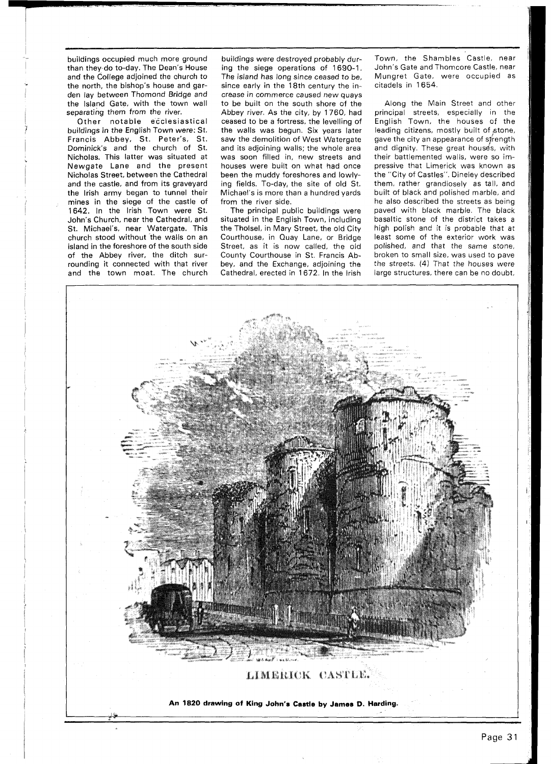buildings occupied much more ground than they do to-day. The Dean's House and the College adjoined the church to the north, the bishop's house and garden lay between Thomond Bridge and the Island Gate, with the town wall separating them from the river.

Other notable ecclesiastical buildings in the English Town were: St. Francis Abbey, St. Peter's, St. Dominick's and the church of St. Nicholas. This latter was situated at Newgate Lane and the present Nicholas Street, between the Cathedral and the castle, and from its graveyard the lrish army began to tunnel their mines in the siege of the castle of 1642. In the lrish Town were St. John's Church, near the Cathedral, and St. Michael's, near Watergate. This church stood without the walls on an island in the foreshore of the south side of the Abbey river, the ditch surrounding it connected with that river and the town moat. The church

buildings were destroyed probably during the siege operations of 1690-1. The island has long since ceased to be, since early in the 18th century the increase in commerce caused new quays to be built on the south shore of the Abbey river. As the city, by 1760, had ceased to be a fortress, the levelling of the walls was begun. Six years later saw the demolition of West Watergate and its adjoining walls; the whole area was soon filled in, new streets and<br>houses were built on what had once been the muddy foreshores and lowlying fields. To-day, the site of old St. Michael's is more than a hundred yards from the river side.

The principal public buildings were situated in the English Town, including the Tholsel, in Mary Street, the old City Courthouse, in Quay Lane, or Bridge Street, as it is now called, the old County Courthouse in St. Francis Abbey, and the Exchange, adjoining the Cathedral, erected in 1672. In the lrish

Town, the Shambles Castle, near John's Gate and Thomcore Castle, near Mungret Gate, were occupied as citadels in 1654.

Along the Main Street and other principal streets, especially in the English Town, the houses of the leading citizens, mostly built of stone, gave the city an appearance of strength citadels in 1654.<br>
Along the Main Street and other<br>
principal streets, especially in the<br>
English Town, the houses of the<br>
leading citizens, mostly built of stone,<br>
gave the city an appearance of strength<br>
and dignity. The their battlemented walls, were so impressive that Limerick was known as the "City of Castles". Dineley described them, rather grandiosely as tall, and built of black and polished marble, and he also described the streets as being paved with black marble. The black basaltic stone of the district takes a high polish and it is probable that at least some of the exterior work was polished, and that the same stone, broken to small size, was used to pave the streets. (4) That the houses were large structures, there can be no doubt,